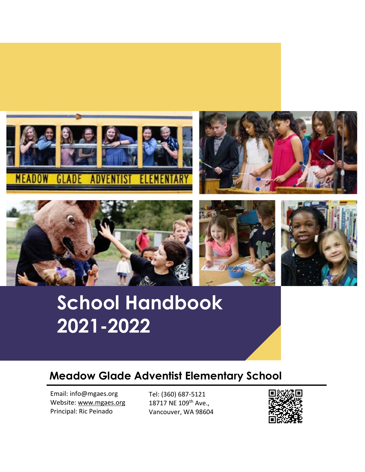









# **School Handbook 2021-2022**

# **Meadow Glade Adventist Elementary School**

Email: info@mgaes.org Website[: www.mgaes.org](http://www.mgaes.org/) Principal: Ric Peinado

Tel: (360) 687-5121 18717 NE 109<sup>th</sup> Ave., Vancouver, WA 98604

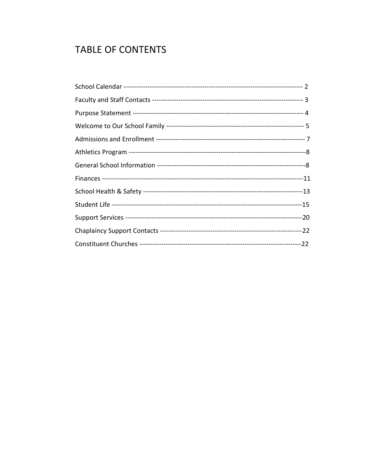# **TABLE OF CONTENTS**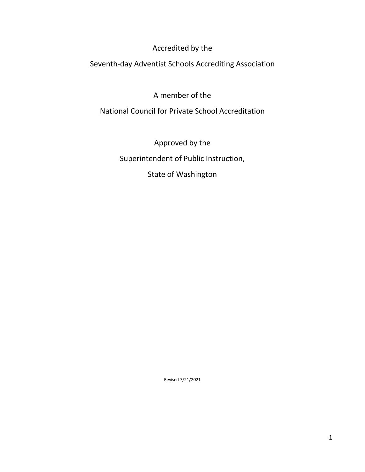Accredited by the

Seventh-day Adventist Schools Accrediting Association

A member of the

National Council for Private School Accreditation

Approved by the Superintendent of Public Instruction, State of Washington

Revised 7/21/2021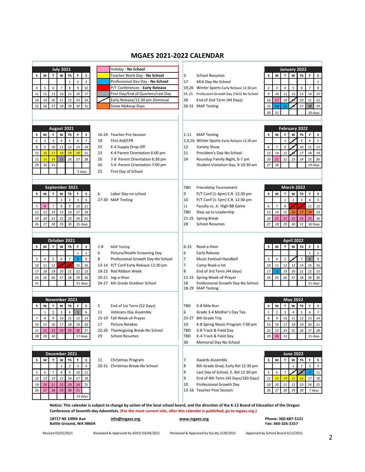# **MGAES 2021-2022 CALENDAR**

| <b>July 2021</b>                                                                  | Holiday - No School                                                                                                                            |                                                                        | January 2022                                                                                        |
|-----------------------------------------------------------------------------------|------------------------------------------------------------------------------------------------------------------------------------------------|------------------------------------------------------------------------|-----------------------------------------------------------------------------------------------------|
| W<br>s<br>M<br>T<br>Th<br>F<br>s                                                  | Teacher Work Day - No School                                                                                                                   | 3<br><b>School Resumes</b>                                             | $\mathbf T$<br>W<br>s<br>M<br>Th<br>F<br>s                                                          |
| $\overline{2}$<br>$\overline{\mathbf{3}}$<br>$\mathbf 1$                          | Professional Dev Day - No School                                                                                                               | 17<br>MLK Day-No School                                                | $\mathbf 1$                                                                                         |
| 5<br>6<br>$\overline{7}$<br>8<br>9<br>10<br>$\overline{4}$                        | P/T Conferences - Early Release                                                                                                                | 19,26 Winter Sports-Early Release 12:30 pm                             | $\overline{2}$<br>3<br>4<br>5<br>6<br>8<br>$\overline{7}$                                           |
| 12<br>13<br>14<br>15<br>16<br>17<br>11                                            | First Day/End of Quarters/Last Day                                                                                                             | 24, 25 Professionl Growth Day (TAO)-No School                          | 9<br>10<br>11<br>12<br>13<br>14<br>15                                                               |
| 20<br>21<br>22<br>23<br>24<br>19<br>18                                            | Early Release/12:30 pm Dismissal                                                                                                               | 28<br>End of 2nd Term (44 Days)                                        | 18<br>20<br>22<br>21<br>16<br>17<br>29                                                              |
| 27<br>28<br>29<br>30<br>26<br>31<br>25                                            | Snow Makeup Days                                                                                                                               | 26-31 MAP Testing                                                      | 25<br>27<br>29<br>23<br>24<br>28<br>26                                                              |
|                                                                                   |                                                                                                                                                |                                                                        | 30<br>31<br>20 days                                                                                 |
|                                                                                   |                                                                                                                                                |                                                                        |                                                                                                     |
| August 2021                                                                       |                                                                                                                                                |                                                                        | February 2022                                                                                       |
| s<br>S<br>M<br>W<br>F<br>Th<br>т                                                  | 16-24 Teacher Pre-Session                                                                                                                      | <b>MAP Testing</b><br>$1 - 11$                                         | s<br>M<br>W<br>Th<br>F<br>s<br>т                                                                    |
| 3<br>$\overline{7}$<br>$\mathbf{1}$<br>$\overline{2}$<br>$\overline{4}$<br>5<br>6 | 18<br>First Aid/CPR                                                                                                                            | 2,9,16 Winter Sports-Early Release 12:30 pm                            | $\mathbf 1$<br>3<br>$\overline{4}$<br>5                                                             |
| 10<br>12<br>9<br>11<br>13<br>14<br>8                                              | 23<br>K-4 Supply Drop Off                                                                                                                      | 12<br>Variety Show                                                     | 8<br>10<br>$\overline{7}$<br>11<br>12<br>6                                                          |
| 16<br>17<br>18<br>19<br>20<br>21<br>15                                            | 23<br>K-4 Parent Orientation 6:00 pm                                                                                                           | 21<br>President's Day-No School                                        | 13<br>15<br>17<br>18<br>19<br>14                                                                    |
| 23<br>24<br>25<br>26<br>22<br>27<br>28                                            | 26<br>7-8 Parent Orientation 6:30 pm                                                                                                           | 24<br>Roundup Family Night, 6-7 pm                                     | 22<br>23<br>24<br>25<br>26<br>20<br>21                                                              |
| 31<br>29<br>30                                                                    | 26<br>5-6 Parent Orientation 7:00 pm                                                                                                           | Student Visitation Day, 9-10:30 am                                     | 27<br>28<br>19 days                                                                                 |
| 5 days                                                                            | 25<br>First Day of School                                                                                                                      |                                                                        |                                                                                                     |
|                                                                                   |                                                                                                                                                |                                                                        |                                                                                                     |
|                                                                                   |                                                                                                                                                |                                                                        |                                                                                                     |
| September 2021                                                                    |                                                                                                                                                | TBD<br>Friendship Tournament                                           | <b>March 2022</b>                                                                                   |
| M<br>T<br>s<br>s<br>W<br>Th<br>F                                                  | 6<br>Labor Day-no school                                                                                                                       | 9<br>P/T Conf (1-4pm) E.R. 12:30 pm                                    | s<br>s<br>M<br>T<br>W<br>Th<br>F                                                                    |
| $\overline{2}$<br>3<br>$\overline{4}$<br>$\mathbf 1$                              | 27-30 MAP Testing                                                                                                                              | 10<br>P/T Conf (1-7pm) E.R. 12:30 pm                                   | $\,1\,$<br>$\overline{2}$<br>3<br>5<br>$\overline{4}$                                               |
| 8<br>5<br>6<br>$\overline{7}$<br>9<br>10<br>11                                    |                                                                                                                                                | 11<br>Faculty vs. Jr. High BB Game                                     | 8<br>12<br>$\overline{7}$<br>11<br>6                                                                |
| 12<br>13<br>14<br>15<br>16<br>17<br>18<br>20<br>21<br>22<br>23<br>24              |                                                                                                                                                | TBD<br>Step up to Leadership                                           | 15<br>13<br>14<br>18<br>19<br>16<br>17<br>26<br>22<br>23<br>24<br>25                                |
| 25<br>19<br>28<br>29<br>30<br>27<br>26<br>21 days                                 |                                                                                                                                                | 21-25 Spring Break<br>28<br><b>School Resumes</b>                      | 20<br>21<br>29<br>28<br>30<br>31<br>27<br>18 Days                                                   |
|                                                                                   |                                                                                                                                                |                                                                        |                                                                                                     |
|                                                                                   |                                                                                                                                                |                                                                        |                                                                                                     |
| October 2021                                                                      |                                                                                                                                                |                                                                        | <b>April 2022</b>                                                                                   |
| M<br>W<br>Th<br>F<br>s<br>s<br>т                                                  | $1 - 8$<br><b>MAP Testing</b>                                                                                                                  | Read-a-thon<br>$6 - 15$                                                | M<br>$\mathsf T$<br>W<br>Th<br>s<br>s<br>F                                                          |
| $\overline{2}$<br>$\mathbf 1$                                                     | 6<br>Picture/Health Screening Day                                                                                                              | 6<br>Early Release                                                     | $\overline{2}$<br>$\mathbf 1$                                                                       |
| $\bf 8$<br>5<br>6<br>$\overline{7}$<br>9<br>3<br>$\overline{4}$                   | 8<br>Professional Growth Day-No School                                                                                                         | $\overline{7}$<br>Music Festival-Handbell                              | 5<br>9<br>$\overline{7}$<br>$\bf 8$<br>3<br>4                                                       |
| 12<br>15<br>10<br>11<br>16                                                        | 13-14 P/T Conf Early Release 12:30 pm                                                                                                          | $\overline{7}$<br>Camp Read-a-lot                                      | 12<br>15<br>14<br>16<br>10<br>13<br>11                                                              |
| 20<br>18<br>19<br>21<br>22<br>23<br>17                                            | 18-22 Red Ribbon Week                                                                                                                          | 8<br>End of 3rd Term (44 days)                                         | 19<br>20<br>22<br>18<br>21<br>23<br>17                                                              |
| 26<br>27<br>28<br>29<br>30<br>25<br>24<br>31<br>21 days                           | 20-21 Jog-a-thon<br>24-27 6th Grade Outdoor School                                                                                             | 11-15 Spring Week-of-Prayer<br>18<br>Professional Growth Day-No School | 26<br>28<br>29<br>30<br>24<br>25<br>27<br>21 days                                                   |
|                                                                                   |                                                                                                                                                | 18-29 MAP Testing                                                      |                                                                                                     |
|                                                                                   |                                                                                                                                                |                                                                        |                                                                                                     |
| November 2021                                                                     |                                                                                                                                                |                                                                        | <b>May 2022</b>                                                                                     |
| S<br>s<br>M<br>T<br>W<br>Th<br>F                                                  | 5<br>End of 1st Term (52 Days)                                                                                                                 | <b>TBD</b><br>K-8 Mile Run                                             | T<br>W<br>Th<br>s<br>s<br>M<br>F                                                                    |
| $\mathbf 2$<br>$\mathbf{1}$<br>3<br>5<br>6<br>4                                   | 11<br><b>Veterans Day Assembly</b>                                                                                                             | 6<br>Grade 3-4 Mother's Day Tea                                        | $\mathsf 3$<br>$\mathbf 1$<br>$\overline{2}$<br>$\overline{\mathbf{4}}$<br>5<br>$\overline{7}$<br>6 |
| 10<br>12<br>9<br>11<br>13<br>$\overline{7}$<br>8                                  | 15-19 Fall Week-of-Prayer                                                                                                                      | 25-27 8th Grade Trip                                                   | 14<br>10<br>11<br>12<br>13<br>8<br>9                                                                |
| 16<br>17<br>18<br>19<br>15<br>20<br>14                                            | 17<br><b>Picture Retakes</b>                                                                                                                   | 19<br>K-8 Spring Music Program 7:00 pm                                 | 19<br>21<br>15<br>17<br>18<br>20<br>16                                                              |
| 22 <sub>1</sub><br>$23 \mid$<br>24<br>$26 \mid 27$<br>$21 \mid$<br>25             | 22-26 Thanksgiving Break-No School                                                                                                             | 5-8 Track & Field Day<br>TBD                                           | 22 23 24<br>25<br>26<br>27<br>28                                                                    |
| 17 days<br>29<br>30<br>28                                                         | 29<br><b>School Resumes</b>                                                                                                                    | <b>TBD</b><br>K-4 Track & Field Day                                    | 31<br>29<br>30<br>21 days                                                                           |
|                                                                                   |                                                                                                                                                | 30<br>Memorial Day-No School                                           |                                                                                                     |
| December 2021                                                                     |                                                                                                                                                |                                                                        | <b>June 2022</b>                                                                                    |
| s<br>s<br>M<br>т<br>W<br>Th<br>F                                                  | 11<br>Christmas Program                                                                                                                        | 7<br>Awards Assembly                                                   | T<br>W<br>s<br>М<br>Th<br>F<br>s                                                                    |
| $\,1\,$<br>$\overline{2}$<br>3<br>4                                               | 20-31 Christmas Break-No School                                                                                                                | 8<br>8th Grade Grad, Early Rel 12:30 pm                                | $\mathbf{1}$<br>$\overline{2}$<br>$\mathsf 3$<br>$\overline{4}$                                     |
| 9<br>10<br>5<br>6<br>8<br>11<br>7                                                 |                                                                                                                                                | 9<br>Last Day of School, E. Rel 12:30 pm                               | 5<br>6<br>$\overline{7}$<br>10<br>11                                                                |
| 16<br>13<br>14<br>15<br>17<br>18<br>12                                            |                                                                                                                                                | 9<br>End of 4th Term (43 Days/183 Days)                                | 14<br>15<br>16<br>17<br>12<br>13<br>18                                                              |
| 20<br>19<br>21<br>22<br>23<br>24<br>25                                            |                                                                                                                                                | 10<br>Professional Growth Day                                          | 21<br>24<br>20<br>22<br>23<br>25<br>19                                                              |
| 27<br>28<br>29<br>30<br>31<br>26                                                  |                                                                                                                                                | 13-16 Teacher Post Session                                             | 28<br>29<br>30<br>26<br>27<br>7 days                                                                |
| 13 days                                                                           |                                                                                                                                                |                                                                        |                                                                                                     |
|                                                                                   | Notice: This calendar is subject to change by action of the local school board, and the direction of the K-12 Board of Education of the Oregon |                                                                        |                                                                                                     |
|                                                                                   | Conference of Seventh-day Adventists. (For the most current info, after this calendar is published, go to mgaes.org.)                          |                                                                        |                                                                                                     |
| 18717 NE 109th Ave                                                                | info@mgaes.org                                                                                                                                 | www.mgaes.org                                                          | Phone: 360-687-5121                                                                                 |
| Battle Ground, WA 98604                                                           |                                                                                                                                                |                                                                        | Fax: 360-326-2357                                                                                   |
| Revised 03/02/2021                                                                | Reviewed & Approved by ADCO 03/04/2021                                                                                                         | Reviewed & Approved by faculty 3/29/2021                               | Approved by School Board 4/12/2021                                                                  |

2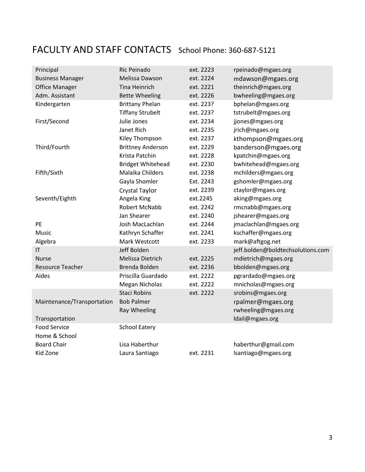# FACULTY AND STAFF CONTACTS School Phone: 360-687-5121

| Principal                  | Ric Peinado              | ext. 2223 | rpeinado@mgaes.org                |
|----------------------------|--------------------------|-----------|-----------------------------------|
| <b>Business Manager</b>    | Melissa Dawson           | ext. 2224 | mdawson@mgaes.org                 |
| <b>Office Manager</b>      | <b>Tina Heinrich</b>     | ext. 2221 | theinrich@mgaes.org               |
| Adm. Assistant             | <b>Bette Wheeling</b>    | ext. 2226 | bwheeling@mgaes.org               |
| Kindergarten               | <b>Brittany Phelan</b>   | ext. 223? | bphelan@mgaes.org                 |
|                            | <b>Tiffany Strubelt</b>  | ext. 223? | tstrubelt@mgaes.org               |
| First/Second               | Julie Jones              | ext. 2234 | jjones@mgaes.org                  |
|                            | Janet Rich               | ext. 2235 | jrich@mgaes.org                   |
|                            | Kiley Thompson           | ext. 2237 | kthompson@mgaes.org               |
| Third/Fourth               | <b>Brittney Anderson</b> | ext. 2229 | banderson@mgaes.org               |
|                            | Krista Patchin           | ext. 2228 | kpatchin@mgaes.org                |
|                            | <b>Bridget Whitehead</b> | ext. 2230 | bwhitehead@mgaes.org              |
| Fifth/Sixth                | Malaika Childers         | ext. 2238 | mchilders@mgaes.org               |
|                            | Gayla Shomler            | Ext. 2243 | gshomler@mgaes.org                |
|                            | Crystal Taylor           | ext. 2239 | ctaylor@mgaes.org                 |
| Seventh/Eighth             | Angela King              | ext.2245  | aking@mgaes.org                   |
|                            | Robert McNabb            | ext. 2242 | rmcnabb@mgaes.org                 |
|                            | Jan Shearer              | ext. 2240 | jshearer@mgaes.org                |
| PE                         | Josh MacLachlan          | ext. 2244 | jmaclachlan@mgaes.org             |
| Music                      | Kathryn Schaffer         | ext. 2241 | kschaffer@mgaes.org               |
| Algebra                    | Mark Westcott            | ext. 2233 | mark@aftgog.net                   |
| IT                         | Jeff Bolden              |           | jeff.bolden@boldtechsolutions.com |
| <b>Nurse</b>               | Melissa Dietrich         | ext. 2225 | mdietrich@mgaes.org               |
| <b>Resource Teacher</b>    | Brenda Bolden            | ext. 2236 | bbolden@mgaes.org                 |
| Aides                      | Priscilla Guardado       | ext. 2222 | pgrardado@mgaes.org               |
|                            | <b>Megan Nicholas</b>    | ext. 2222 | mnicholas@mgaes.org               |
|                            | <b>Staci Robins</b>      | ext. 2222 | srobins@mgaes.org                 |
| Maintenance/Transportation | <b>Bob Palmer</b>        |           | rpalmer@mgaes.org                 |
|                            | Ray Wheeling             |           | rwheeling@mgaes.org               |
| Transportation             |                          |           | Idail@mgaes.org                   |
| <b>Food Service</b>        | <b>School Eatery</b>     |           |                                   |
| Home & School              |                          |           |                                   |
| <b>Board Chair</b>         | Lisa Haberthur           |           | haberthur@gmail.com               |
| Kid Zone                   | Laura Santiago           | ext. 2231 | lsantiago@mgaes.org               |
|                            |                          |           |                                   |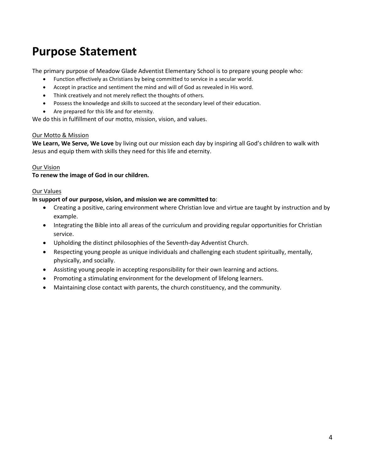# **Purpose Statement**

The primary purpose of Meadow Glade Adventist Elementary School is to prepare young people who:

- Function effectively as Christians by being committed to service in a secular world.
- Accept in practice and sentiment the mind and will of God as revealed in His word.
- Think creatively and not merely reflect the thoughts of others.
- Possess the knowledge and skills to succeed at the secondary level of their education.
- Are prepared for this life and for eternity.

We do this in fulfillment of our motto, mission, vision, and values.

### Our Motto & Mission

**We Learn, We Serve, We Love** by living out our mission each day by inspiring all God's children to walk with Jesus and equip them with skills they need for this life and eternity.

# Our Vision

### **To renew the image of God in our children.**

### Our Values

### **In support of our purpose, vision, and mission we are committed to**:

- Creating a positive, caring environment where Christian love and virtue are taught by instruction and by example.
- Integrating the Bible into all areas of the curriculum and providing regular opportunities for Christian service.
- Upholding the distinct philosophies of the Seventh-day Adventist Church.
- Respecting young people as unique individuals and challenging each student spiritually, mentally, physically, and socially.
- Assisting young people in accepting responsibility for their own learning and actions.
- Promoting a stimulating environment for the development of lifelong learners.
- Maintaining close contact with parents, the church constituency, and the community.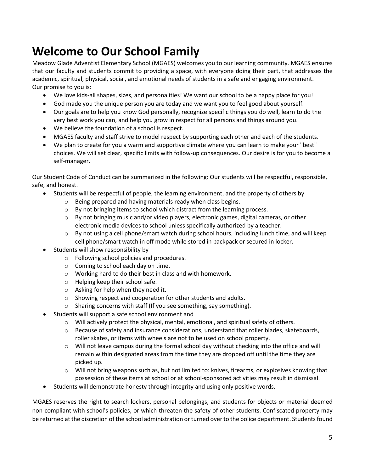# **Welcome to Our School Family**

Meadow Glade Adventist Elementary School (MGAES) welcomes you to our learning community. MGAES ensures that our faculty and students commit to providing a space, with everyone doing their part, that addresses the academic, spiritual, physical, social, and emotional needs of students in a safe and engaging environment. Our promise to you is:

- We love kids-all shapes, sizes, and personalities! We want our school to be a happy place for you!
- God made you the unique person you are today and we want you to feel good about yourself.
- Our goals are to help you know God personally, recognize specific things you do well, learn to do the very best work you can, and help you grow in respect for all persons and things around you.
- We believe the foundation of a school is respect.
- MGAES faculty and staff strive to model respect by supporting each other and each of the students.
- We plan to create for you a warm and supportive climate where you can learn to make your "best" choices. We will set clear, specific limits with follow-up consequences. Our desire is for you to become a self-manager.

Our Student Code of Conduct can be summarized in the following: Our students will be respectful, responsible, safe, and honest.

- Students will be respectful of people, the learning environment, and the property of others by
	- o Being prepared and having materials ready when class begins.
	- o By not bringing items to school which distract from the learning process.
	- $\circ$  By not bringing music and/or video players, electronic games, digital cameras, or other electronic media devices to school unless specifically authorized by a teacher.
	- $\circ$  By not using a cell phone/smart watch during school hours, including lunch time, and will keep cell phone/smart watch in off mode while stored in backpack or secured in locker.
- Students will show responsibility by
	- o Following school policies and procedures.
	- o Coming to school each day on time.
	- o Working hard to do their best in class and with homework.
	- o Helping keep their school safe.
	- o Asking for help when they need it.
	- o Showing respect and cooperation for other students and adults.
	- o Sharing concerns with staff (If you see something, say something).
- Students will support a safe school environment and
	- $\circ$  Will actively protect the physical, mental, emotional, and spiritual safety of others.
	- o Because of safety and insurance considerations, understand that roller blades, skateboards, roller skates, or items with wheels are not to be used on school property.
	- $\circ$  Will not leave campus during the formal school day without checking into the office and will remain within designated areas from the time they are dropped off until the time they are picked up.
	- o Will not bring weapons such as, but not limited to: knives, firearms, or explosives knowing that possession of these items at school or at school-sponsored activities may result in dismissal.
- Students will demonstrate honesty through integrity and using only positive words.

MGAES reserves the right to search lockers, personal belongings, and students for objects or material deemed non-compliant with school's policies, or which threaten the safety of other students. Confiscated property may be returned at the discretion of the school administration or turned over to the police department. Students found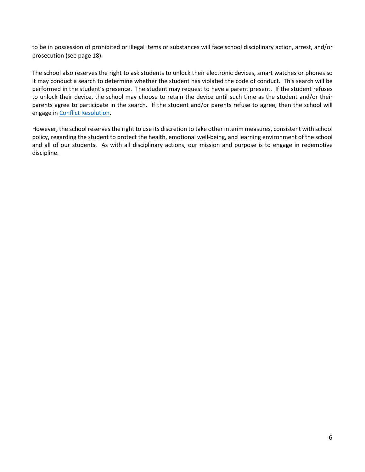to be in possession of prohibited or illegal items or substances will face school disciplinary action, arrest, and/or prosecution (see page 18).

<span id="page-7-0"></span>The school also reserves the right to ask students to unlock their electronic devices, smart watches or phones so it may conduct a search to determine whether the student has violated the code of conduct. This search will be performed in the student's presence. The student may request to have a parent present. If the student refuses to unlock their device, the school may choose to retain the device until such time as the student and/or their parents agree to participate in the search. If the student and/or parents refuse to agree, then the school will engage i[n Conflict Resolution.](#page-10-0)

However, the school reserves the right to use its discretion to take other interim measures, consistent with school policy, regarding the student to protect the health, emotional well-being, and learning environment of the school and all of our students. As with all disciplinary actions, our mission and purpose is to engage in redemptive discipline.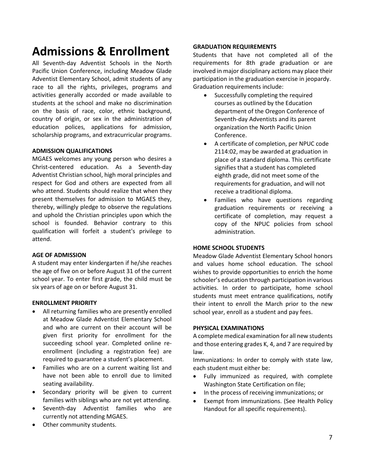# **Admissions & Enrollment**

All Seventh-day Adventist Schools in the North Pacific Union Conference, including Meadow Glade Adventist Elementary School, admit students of any race to all the rights, privileges, programs and activities generally accorded or made available to students at the school and make no discrimination on the basis of race, color, ethnic background, country of origin, or sex in the administration of education polices, applications for admission, scholarship programs, and extracurricular programs.

# **ADMISSION QUALIFICATIONS**

MGAES welcomes any young person who desires a Christ-centered education. As a Seventh-day Adventist Christian school, high moral principles and respect for God and others are expected from all who attend. Students should realize that when they present themselves for admission to MGAES they, thereby, willingly pledge to observe the regulations and uphold the Christian principles upon which the school is founded. Behavior contrary to this qualification will forfeit a student's privilege to attend.

# **AGE OF ADMISSION**

A student may enter kindergarten if he/she reaches the age of five on or before August 31 of the current school year. To enter first grade, the child must be six years of age on or before August 31.

# **ENROLLMENT PRIORITY**

- All returning families who are presently enrolled at Meadow Glade Adventist Elementary School and who are current on their account will be given first priority for enrollment for the succeeding school year. Completed online reenrollment (including a registration fee) are required to guarantee a student's placement.
- Families who are on a current waiting list and have not been able to enroll due to limited seating availability.
- Secondary priority will be given to current families with siblings who are not yet attending.
- Seventh-day Adventist families who are currently not attending MGAES.
- Other community students.

### **GRADUATION REQUIREMENTS**

Students that have not completed all of the requirements for 8th grade graduation or are involved in major disciplinary actions may place their participation in the graduation exercise in jeopardy. Graduation requirements include:

- Successfully completing the required courses as outlined by the Education department of the Oregon Conference of Seventh-day Adventists and its parent organization the North Pacific Union Conference.
- A certificate of completion, per NPUC code 2114:02, may be awarded at graduation in place of a standard diploma. This certificate signifies that a student has completed eighth grade, did not meet some of the requirements for graduation, and will not receive a traditional diploma.
- Families who have questions regarding graduation requirements or receiving a certificate of completion, may request a copy of the NPUC policies from school administration.

#### **HOME SCHOOL STUDENTS**

Meadow Glade Adventist Elementary School honors and values home school education. The school wishes to provide opportunities to enrich the home schooler's education through participation in various activities. In order to participate, home school students must meet entrance qualifications, notify their intent to enroll the March prior to the new school year, enroll as a student and pay fees.

# **PHYSICAL EXAMINATIONS**

A complete medical examination for all new students and those entering grades K, 4, and 7 are required by law.

Immunizations: In order to comply with state law, each student must either be:

- Fully immunized as required, with complete Washington State Certification on file;
- In the process of receiving immunizations; or
- Exempt from immunizations. (See Health Policy Handout for all specific requirements).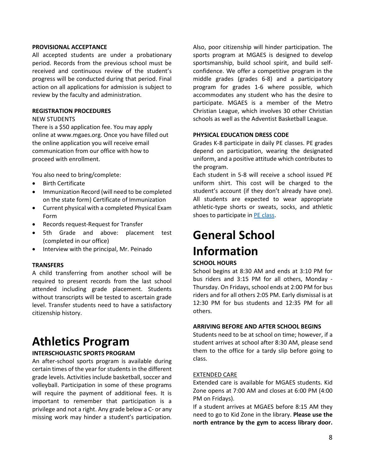#### **PROVISIONAL ACCEPTANCE**

All accepted students are under a probationary period. Records from the previous school must be received and continuous review of the student's progress will be conducted during that period. Final action on all applications for admission is subject to review by the faculty and administration.

#### **REGISTRATION PROCEDURES**

#### NEW STUDENTS

There is a \$50 application fee. You may apply online at www.mgaes.org. Once you have filled out the online application you will receive email communication from our office with how to proceed with enrollment.

You also need to bring/complete:

- Birth Certificate
- Immunization Record (will need to be completed on the state form) Certificate of Immunization
- Current physical with a completed Physical Exam Form
- Records request-Request for Transfer
- 5th Grade and above: placement test (completed in our office)
- Interview with the principal, Mr. Peinado

#### **TRANSFERS**

A child transferring from another school will be required to present records from the last school attended including grade placement. Students without transcripts will be tested to ascertain grade level. Transfer students need to have a satisfactory citizenship history.

# **Athletics Program**

# **INTERSCHOLASTIC SPORTS PROGRAM**

An after-school sports program is available during certain times of the year for students in the different grade levels. Activities include basketball, soccer and volleyball. Participation in some of these programs will require the payment of additional fees. It is important to remember that participation is a privilege and not a right. Any grade below a C- or any missing work may hinder a student's participation.

Also, poor citizenship will hinder participation. The sports program at MGAES is designed to develop sportsmanship, build school spirit, and build selfconfidence. We offer a competitive program in the middle grades (grades 6-8) and a participatory program for grades 1-6 where possible, which accommodates any student who has the desire to participate. MGAES is a member of the Metro Christian League, which involves 30 other Christian schools as well as the Adventist Basketball League.

#### **PHYSICAL EDUCATION DRESS CODE**

Grades K-8 participate in daily PE classes. PE grades depend on participation, wearing the designated uniform, and a positive attitude which contributes to the program.

Each student in 5-8 will receive a school issued PE uniform shirt. This cost will be charged to the student's account (if they don't already have one). All students are expected to wear appropriate athletic-type shorts or sweats, socks, and athletic shoes to participate in [PE class.](#page-20-0)

# **General School Information**

## **SCHOOL HOURS**

School begins at 8:30 AM and ends at 3:10 PM for bus riders and 3:15 PM for all others, Monday - Thursday. On Fridays, school ends at 2:00 PM for bus riders and for all others 2:05 PM. Early dismissal is at 12:30 PM for bus students and 12:35 PM for all others.

#### **ARRIVING BEFORE AND AFTER SCHOOL BEGINS**

Students need to be at school on time; however, if a student arrives at school after 8:30 AM, please send them to the office for a tardy slip before going to class.

# EXTENDED CARE

Extended care is available for MGAES students. Kid Zone opens at 7:00 AM and closes at 6:00 PM (4:00 PM on Fridays).

If a student arrives at MGAES before 8:15 AM they need to go to Kid Zone in the library. **Please use the north entrance by the gym to access library door.**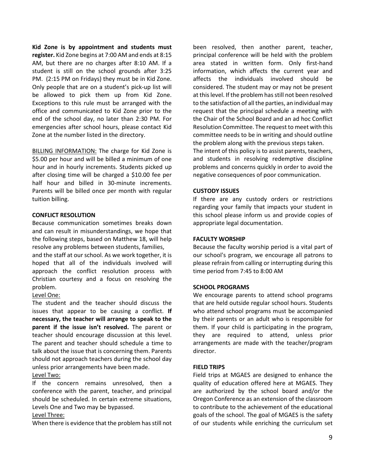**Kid Zone is by appointment and students must register.** Kid Zone begins at 7:00 AM and ends at 8:15 AM, but there are no charges after 8:10 AM. If a student is still on the school grounds after 3:25 PM. (2:15 PM on Fridays) they must be in Kid Zone. Only people that are on a student's pick-up list will be allowed to pick them up from Kid Zone. Exceptions to this rule must be arranged with the office and communicated to Kid Zone prior to the end of the school day, no later than 2:30 PM. For emergencies after school hours, please contact Kid Zone at the number listed in the directory.

BILLING INFORMATION: The charge for Kid Zone is \$5.00 per hour and will be billed a minimum of one hour and in hourly increments. Students picked up after closing time will be charged a \$10.00 fee per half hour and billed in 30-minute increments. Parents will be billed once per month with regular tuition billing.

#### <span id="page-10-0"></span>**CONFLICT RESOLUTION**

Because communication sometimes breaks down and can result in misunderstandings, we hope that the following steps, based on Matthew 18, will help resolve any problems between students, families,

and the staff at our school. As we work together, it is hoped that all of the individuals involved will approach the conflict resolution process with Christian courtesy and a focus on resolving the problem.

# Level One:

The student and the teacher should discuss the issues that appear to be causing a conflict. **If necessary, the teacher will arrange to speak to the parent if the issue isn't resolved.** The parent or teacher should encourage discussion at this level. The parent and teacher should schedule a time to talk about the issue that is concerning them. Parents should not approach teachers during the school day unless prior arrangements have been made. Level Two:

If the concern remains unresolved, then a conference with the parent, teacher, and principal should be scheduled. In certain extreme situations, Levels One and Two may be bypassed.

#### Level Three:

When there is evidence that the problem has still not

been resolved, then another parent, teacher, principal conference will be held with the problem area stated in written form. Only first-hand information, which affects the current year and affects the individuals involved should be considered. The student may or may not be present at this level. If the problem has still not been resolved to the satisfaction of all the parties, an individual may request that the principal schedule a meeting with the Chair of the School Board and an ad hoc Conflict Resolution Committee. The request to meet with this committee needs to be in writing and should outline the problem along with the previous steps taken.

The intent of this policy is to assist parents, teachers, and students in resolving redemptive discipline problems and concerns quickly in order to avoid the negative consequences of poor communication.

#### **CUSTODY ISSUES**

If there are any custody orders or restrictions regarding your family that impacts your student in this school please inform us and provide copies of appropriate legal documentation.

#### **FACULTY WORSHIP**

Because the faculty worship period is a vital part of our school's program, we encourage all patrons to please refrain from calling or interrupting during this time period from 7:45 to 8:00 AM

#### **SCHOOL PROGRAMS**

We encourage parents to attend school programs that are held outside regular school hours. Students who attend school programs must be accompanied by their parents or an adult who is responsible for them. If your child is participating in the program, they are required to attend, unless prior arrangements are made with the teacher/program director.

# **FIELD TRIPS**

Field trips at MGAES are designed to enhance the quality of education offered here at MGAES. They are authorized by the school board and/or the Oregon Conference as an extension of the classroom to contribute to the achievement of the educational goals of the school. The goal of MGAES is the safety of our students while enriching the curriculum set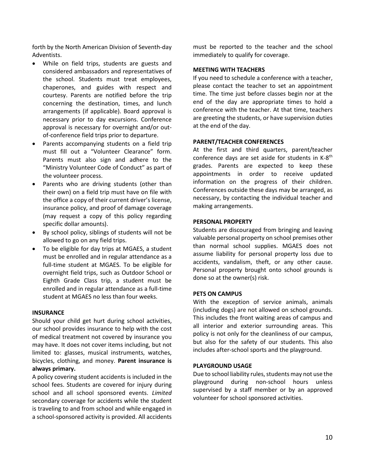forth by the North American Division of Seventh-day Adventists.

- While on field trips, students are guests and considered ambassadors and representatives of the school. Students must treat employees, chaperones, and guides with respect and courtesy. Parents are notified before the trip concerning the destination, times, and lunch arrangements (if applicable). Board approval is necessary prior to day excursions. Conference approval is necessary for overnight and/or outof-conference field trips prior to departure.
- Parents accompanying students on a field trip must fill out a "Volunteer Clearance" form. Parents must also sign and adhere to the "Ministry Volunteer Code of Conduct" as part of the volunteer process.
- Parents who are driving students (other than their own) on a field trip must have on file with the office a copy of their current driver's license, insurance policy, and proof of damage coverage (may request a copy of this policy regarding specific dollar amounts).
- By school policy, siblings of students will not be allowed to go on any field trips.
- To be eligible for day trips at MGAES, a student must be enrolled and in regular attendance as a full-time student at MGAES. To be eligible for overnight field trips, such as Outdoor School or Eighth Grade Class trip, a student must be enrolled and in regular attendance as a full-time student at MGAES no less than four weeks.

#### **INSURANCE**

Should your child get hurt during school activities, our school provides insurance to help with the cost of medical treatment not covered by insurance you may have. It does not cover items including, but not limited to: glasses, musical instruments, watches, bicycles, clothing, and money. **Parent insurance is always primary.**

A policy covering student accidents is included in the school fees. Students are covered for injury during school and all school sponsored events. *Limited* secondary coverage for accidents while the student is traveling to and from school and while engaged in a school-sponsored activity is provided. All accidents

must be reported to the teacher and the school immediately to qualify for coverage.

#### **MEETING WITH TEACHERS**

If you need to schedule a conference with a teacher, please contact the teacher to set an appointment time. The time just before classes begin nor at the end of the day are appropriate times to hold a conference with the teacher. At that time, teachers are greeting the students, or have supervision duties at the end of the day.

### **PARENT/TEACHER CONFERENCES**

At the first and third quarters, parent/teacher conference days are set aside for students in K-8<sup>th</sup> grades. Parents are expected to keep these appointments in order to receive updated information on the progress of their children. Conferences outside these days may be arranged, as necessary, by contacting the individual teacher and making arrangements.

### **PERSONAL PROPERTY**

Students are discouraged from bringing and leaving valuable personal property on school premises other than normal school supplies. MGAES does not assume liability for personal property loss due to accidents, vandalism, theft, or any other cause. Personal property brought onto school grounds is done so at the owner(s) risk.

#### **PETS ON CAMPUS**

With the exception of service animals, animals (including dogs) are not allowed on school grounds. This includes the front waiting areas of campus and all interior and exterior surrounding areas. This policy is not only for the cleanliness of our campus, but also for the safety of our students. This also includes after-school sports and the playground.

# **PLAYGROUND USAGE**

Due to school liability rules, students may not use the playground during non-school hours unless supervised by a staff member or by an approved volunteer for school sponsored activities.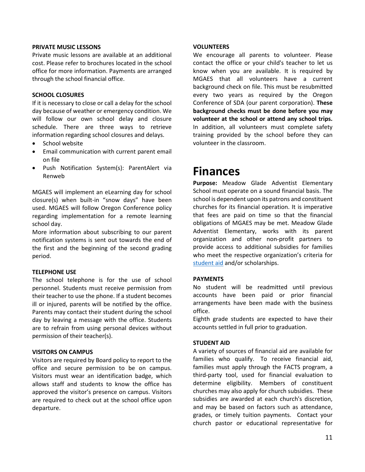#### **PRIVATE MUSIC LESSONS**

Private music lessons are available at an additional cost. Please refer to brochures located in the school office for more information. Payments are arranged through the school financial office.

# **SCHOOL CLOSURES**

If it is necessary to close or call a delay for the school day because of weather or emergency condition. We will follow our own school delay and closure schedule. There are three ways to retrieve information regarding school closures and delays.

- School website
- Email communication with current parent email on file
- Push Notification System(s): ParentAlert via Renweb

MGAES will implement an eLearning day for school closure(s) when built-in "snow days" have been used. MGAES will follow Oregon Conference policy regarding implementation for a remote learning school day.

More information about subscribing to our parent notification systems is sent out towards the end of the first and the beginning of the second grading period.

# **TELEPHONE USE**

The school telephone is for the use of school personnel. Students must receive permission from their teacher to use the phone. If a student becomes ill or injured, parents will be notified by the office. Parents may contact their student during the school day by leaving a message with the office. Students are to refrain from using personal devices without permission of their teacher(s).

# **VISITORS ON CAMPUS**

Visitors are required by Board policy to report to the office and secure permission to be on campus. Visitors must wear an identification badge, which allows staff and students to know the office has approved the visitor's presence on campus. Visitors are required to check out at the school office upon departure.

### **VOLUNTEERS**

We encourage all parents to volunteer. Please contact the office or your child's teacher to let us know when you are available. It is required by MGAES that all volunteers have a current background check on file. This must be resubmitted every two years as required by the Oregon Conference of SDA (our parent corporation). **These background checks must be done before you may volunteer at the school or attend any school trips.** In addition, all volunteers must complete safety training provided by the school before they can volunteer in the classroom.

# **Finances**

**Purpose:** Meadow Glade Adventist Elementary School must operate on a sound financial basis. The school is dependent upon its patrons and constituent churches for its financial operation. It is imperative that fees are paid on time so that the financial obligations of MGAES may be met. Meadow Glade Adventist Elementary, works with its parent organization and other non-profit partners to provide access to additional subsidies for families who meet the respective organization's criteria for [student aid](#page-12-0) and/or scholarships.

# **PAYMENTS**

No student will be readmitted until previous accounts have been paid or prior financial arrangements have been made with the business office.

Eighth grade students are expected to have their accounts settled in full prior to graduation.

# <span id="page-12-0"></span>**STUDENT AID**

A variety of sources of financial aid are available for families who qualify. To receive financial aid, families must apply through the FACTS program, a third-party tool, used for financial evaluation to determine eligibility. Members of constituent churches may also apply for church subsidies. These subsidies are awarded at each church's discretion, and may be based on factors such as attendance, grades, or timely tuition payments. Contact your church pastor or educational representative for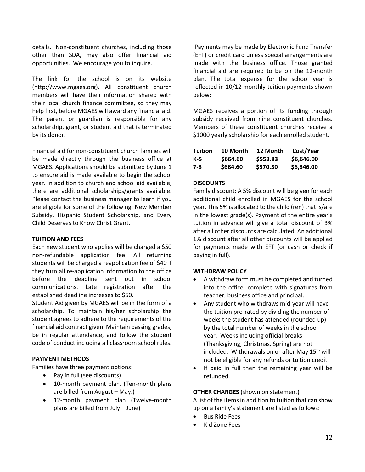details. Non-constituent churches, including those other than SDA, may also offer financial aid opportunities. We encourage you to inquire.

The link for the school is on its website (http://www.mgaes.org). All constituent church members will have their information shared with their local church finance committee, so they may help first, before MGAES will award any financial aid. The parent or guardian is responsible for any scholarship, grant, or student aid that is terminated by its donor.

Financial aid for non-constituent church families will be made directly through the business office at MGAES. Applications should be submitted by June 1 to ensure aid is made available to begin the school year. In addition to church and school aid available, there are additional scholarships/grants available. Please contact the business manager to learn if you are eligible for some of the following: New Member Subsidy, Hispanic Student Scholarship, and Every Child Deserves to Know Christ Grant.

# **TUITION AND FEES**

Each new student who applies will be charged a \$50 non-refundable application fee. All returning students will be charged a reapplication fee of \$40 if they turn all re-application information to the office before the deadline sent out in school communications. Late registration after the established deadline increases to \$50.

Student Aid given by MGAES will be in the form of a scholarship. To maintain his/her scholarship the student agrees to adhere to the requirements of the financial aid contract given. Maintain passing grades, be in regular attendance, and follow the student code of conduct including all classroom school rules.

# **PAYMENT METHODS**

Families have three payment options:

- Pay in full (see discounts)
- 10-month payment plan. (Ten-month plans are billed from August – May.)
- 12-month payment plan (Twelve-month plans are billed from July – June)

Payments may be made by Electronic Fund Transfer (EFT) or credit card unless special arrangements are made with the business office. Those granted financial aid are required to be on the 12-month plan. The total expense for the school year is reflected in 10/12 monthly tuition payments shown below:

MGAES receives a portion of its funding through subsidy received from nine constituent churches. Members of these constituent churches receive a \$1000 yearly scholarship for each enrolled student.

| <b>Tuition</b> | 10 Month | 12 Month | Cost/Year  |
|----------------|----------|----------|------------|
| K-5            | \$664.60 | \$553.83 | \$6,646.00 |
| 7-8            | \$684.60 | \$570.50 | \$6,846.00 |

# **DISCOUNTS**

Family discount: A 5% discount will be given for each additional child enrolled in MGAES for the school year. This 5% is allocated to the child (ren) that is/are in the lowest grade(s). Payment of the entire year's tuition in advance will give a total discount of 3% after all other discounts are calculated. An additional 1% discount after all other discounts will be applied for payments made with EFT (or cash or check if paying in full).

# **WITHDRAW POLICY**

- A withdraw form must be completed and turned into the office, complete with signatures from teacher, business office and principal.
- Any student who withdraws mid-year will have the tuition pro-rated by dividing the number of weeks the student has attended (rounded up) by the total number of weeks in the school year. Weeks including official breaks (Thanksgiving, Christmas, Spring) are not included. Withdrawals on or after May  $15<sup>th</sup>$  will not be eligible for any refunds or tuition credit.
- If paid in full then the remaining year will be refunded.

# **OTHER CHARGES** (shown on statement)

A list of the items in addition to tuition that can show up on a family's statement are listed as follows:

- Bus Ride Fees
- Kid Zone Fees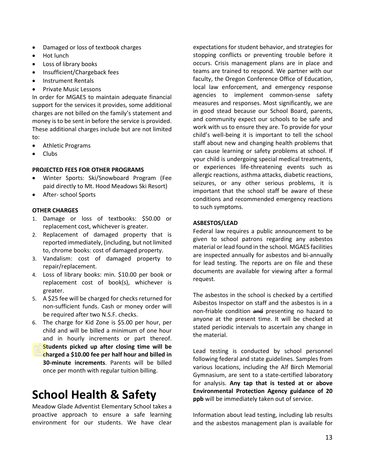- Damaged or loss of textbook charges
- Hot lunch
- Loss of library books
- Insufficient/Chargeback fees
- Instrument Rentals
- Private Music Lessons

In order for MGAES to maintain adequate financial support for the services it provides, some additional charges are not billed on the family's statement and money is to be sent in before the service is provided. These additional charges include but are not limited to:

- Athletic Programs
- Clubs

# **PROJECTED FEES FOR OTHER PROGRAMS**

- Winter Sports: Ski/Snowboard Program (Fee paid directly to Mt. Hood Meadows Ski Resort)
- After- school Sports

# **OTHER CHARGES**

- 1. Damage or loss of textbooks: \$50.00 or replacement cost, whichever is greater.
- 2. Replacement of damaged property that is reported immediately, (including, but not limited to, chrome books: cost of damaged property.
- 3. Vandalism: cost of damaged property to repair/replacement.
- 4. Loss of library books: min. \$10.00 per book or replacement cost of book(s), whichever is greater.
- 5. A \$25 fee will be charged for checks returned for non-sufficient funds. Cash or money order will be required after two N.S.F. checks.
- 6. The charge for Kid Zone is \$5.00 per hour, per child and will be billed a minimum of one hour and in hourly increments or part thereof. **Students picked up after closing time will be charged a \$10.00 fee per half hour and billed in 30-minute increments**. Parents will be billed once per month with regular tuition billing.

# **School Health & Safety**

Meadow Glade Adventist Elementary School takes a proactive approach to ensure a safe learning environment for our students. We have clear expectations for student behavior, and strategies for stopping conflicts or preventing trouble before it occurs. Crisis management plans are in place and teams are trained to respond. We partner with our faculty, the Oregon Conference Office of Education, local law enforcement, and emergency response agencies to implement common-sense safety measures and responses. Most significantly, we are in good stead because our School Board, parents, and community expect our schools to be safe and work with us to ensure they are. To provide for your child's well-being it is important to tell the school staff about new and changing health problems that can cause learning or safety problems at school. If your child is undergoing special medical treatments, or experiences life-threatening events such as allergic reactions, asthma attacks, diabetic reactions, seizures, or any other serious problems, it is important that the school staff be aware of these conditions and recommended emergency reactions to such symptoms.

# **ASBESTOS/LEAD**

Federal law requires a public announcement to be given to school patrons regarding any asbestos material or lead found in the school. MGAES facilities are inspected annually for asbestos and bi-annually for lead testing. The reports are on file and these documents are available for viewing after a formal request.

The asbestos in the school is checked by a certified Asbestos Inspector on staff and the asbestos is in a non-friable condition and presenting no hazard to anyone at the present time. It will be checked at stated periodic intervals to ascertain any change in the material.

Lead testing is conducted by school personnel following federal and state guidelines. Samples from various locations, including the Alf Birch Memorial Gymnasium, are sent to a state-certified laboratory for analysis. **Any tap that is tested at or above Environmental Protection Agency guidance of 20 ppb** will be immediately taken out of service.

Information about lead testing, including lab results and the asbestos management plan is available for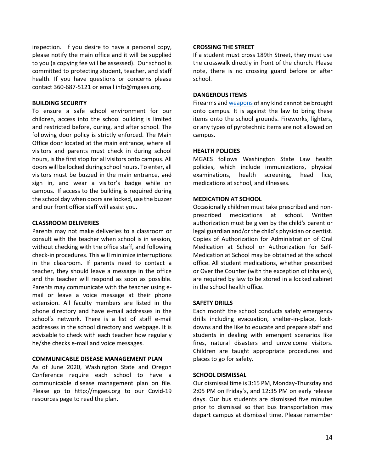inspection. If you desire to have a personal copy, please notify the main office and it will be supplied to you (a copying fee will be assessed). Our school is committed to protecting student, teacher, and staff health. If you have questions or concerns please contact 360-687-5121 or email [info@mgaes.org.](mailto:info@mgaes.org)

#### **BUILDING SECURITY**

To ensure a safe school environment for our children, access into the school building is limited and restricted before, during, and after school. The following door policy is strictly enforced. The Main Office door located at the main entrance, where all visitors and parents must check in during school hours, is the first stop for all visitors onto campus. All doors will be locked during school hours. To enter, all visitors must be buzzed in the main entrance, and sign in, and wear a visitor's badge while on campus. If access to the building is required during the school day when doors are locked, use the buzzer and our front office staff will assist you.

#### **CLASSROOM DELIVERIES**

Parents may not make deliveries to a classroom or consult with the teacher when school is in session, without checking with the office staff, and following check-in procedures. This will minimize interruptions in the classroom. If parents need to contact a teacher, they should leave a message in the office and the teacher will respond as soon as possible. Parents may communicate with the teacher using email or leave a voice message at their phone extension. All faculty members are listed in the phone directory and have e-mail addresses in the school's network. There is a list of staff e-mail addresses in the school directory and webpage. It is advisable to check with each teacher how regularly he/she checks e-mail and voice messages.

#### **COMMUNICABLE DISEASE MANAGEMENT PLAN**

As of June 2020, Washington State and Oregon Conference require each school to have a communicable disease management plan on file. Please go to http://mgaes.org to our Covid-19 resources page to read the plan.

#### **CROSSING THE STREET**

If a student must cross 189th Street, they must use the crosswalk directly in front of the church. Please note, there is no crossing guard before or after school.

### **DANGEROUS ITEMS**

Firearms and [weapons o](#page-19-0)f any kind cannot be brought onto campus. It is against the law to bring these items onto the school grounds. Fireworks, lighters, or any types of pyrotechnic items are not allowed on campus.

#### **HEALTH POLICIES**

MGAES follows Washington State Law health policies, which include immunizations, physical examinations, health screening, head lice, medications at school, and illnesses.

#### **MEDICATION AT SCHOOL**

Occasionally children must take prescribed and nonprescribed medications at school. Written authorization must be given by the child's parent or legal guardian and/or the child's physician or dentist. Copies of Authorization for Administration of Oral Medication at School or Authorization for Self-Medication at School may be obtained at the school office. All student medications, whether prescribed or Over the Counter (with the exception of inhalers), are required by law to be stored in a locked cabinet in the school health office.

#### **SAFETY DRILLS**

Each month the school conducts safety emergency drills including evacuation, shelter-in-place, lockdowns and the like to educate and prepare staff and students in dealing with emergent scenarios like fires, natural disasters and unwelcome visitors. Children are taught appropriate procedures and places to go for safety.

#### **SCHOOL DISMISSAL**

Our dismissal time is 3:15 PM, Monday-Thursday and 2:05 PM on Friday's, and 12:35 PM on early release days. Our bus students are dismissed five minutes prior to dismissal so that bus transportation may depart campus at dismissal time. Please remember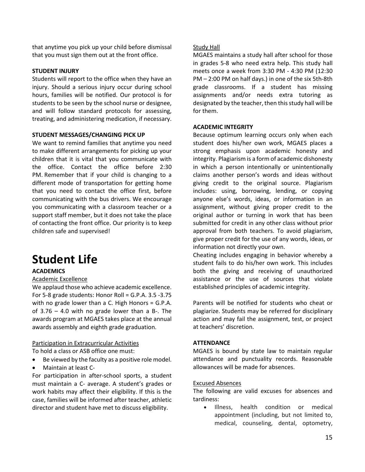that anytime you pick up your child before dismissal that you must sign them out at the front office.

# **STUDENT INJURY**

Students will report to the office when they have an injury. Should a serious injury occur during school hours, families will be notified. Our protocol is for students to be seen by the school nurse or designee, and will follow standard protocols for assessing, treating, and administering medication, if necessary.

# **STUDENT MESSAGES/CHANGING PICK UP**

We want to remind families that anytime you need to make different arrangements for picking up your children that it is vital that you communicate with the office. Contact the office before 2:30 PM. Remember that if your child is changing to a different mode of transportation for getting home that you need to contact the office first, before communicating with the bus drivers. We encourage you communicating with a classroom teacher or a support staff member, but it does not take the place of contacting the front office. Our priority is to keep children safe and supervised!

# **Student Life**

# **ACADEMICS**

# Academic Excellence

We applaud those who achieve academic excellence. For 5-8 grade students: Honor Roll = G.P.A. 3.5 -3.75 with no grade lower than a C. High Honors = G.P.A. of  $3.76 - 4.0$  with no grade lower than a B-. The awards program at MGAES takes place at the annual awards assembly and eighth grade graduation.

# Participation in Extracurricular Activities

To hold a class or ASB office one must:

- Be viewed by the faculty as a positive role model.
- Maintain at least C-

For participation in after-school sports, a student must maintain a C- average. A student's grades or work habits may affect their eligibility. If this is the case, families will be informed after teacher, athletic director and student have met to discuss eligibility.

#### Study Hall

MGAES maintains a study hall after school for those in grades 5-8 who need extra help. This study hall meets once a week from 3:30 PM - 4:30 PM (12:30 PM – 2:00 PM on half days.) in one of the six 5th-8th grade classrooms. If a student has missing assignments and/or needs extra tutoring as designated by the teacher, then this study hall will be for them.

#### <span id="page-16-0"></span>**ACADEMIC INTEGRITY**

Because optimum learning occurs only when each student does his/her own work, MGAES places a strong emphasis upon academic honesty and integrity. Plagiarism is a form of academic dishonesty in which a person intentionally or unintentionally claims another person's words and ideas without giving credit to the original source. Plagiarism includes: using, borrowing, lending, or copying anyone else's words, ideas, or information in an assignment, without giving proper credit to the original author or turning in work that has been submitted for credit in any other class without prior approval from both teachers. To avoid plagiarism, give proper credit for the use of any words, ideas, or information not directly your own.

Cheating includes engaging in behavior whereby a student fails to do his/her own work. This includes both the giving and receiving of unauthorized assistance or the use of sources that violate established principles of academic integrity.

Parents will be notified for students who cheat or plagiarize. Students may be referred for disciplinary action and may fail the assignment, test, or project at teachers' discretion.

#### **ATTENDANCE**

MGAES is bound by state law to maintain regular attendance and punctuality records. Reasonable allowances will be made for absences.

#### Excused Absences

The following are valid excuses for absences and tardiness:

• Illness, health condition or medical appointment (including, but not limited to, medical, counseling, dental, optometry,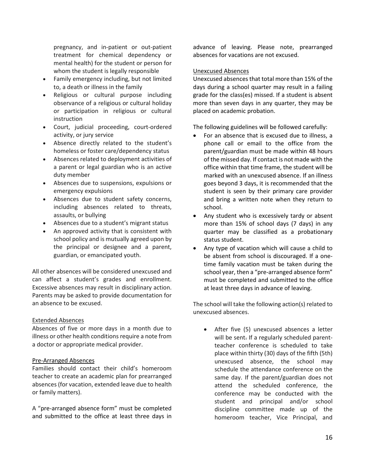pregnancy, and in-patient or out-patient treatment for chemical dependency or mental health) for the student or person for whom the student is legally responsible

- Family emergency including, but not limited to, a death or illness in the family
- Religious or cultural purpose including observance of a religious or cultural holiday or participation in religious or cultural instruction
- Court, judicial proceeding, court-ordered activity, or jury service
- Absence directly related to the student's homeless or foster care/dependency status
- Absences related to deployment activities of a parent or legal guardian who is an active duty member
- Absences due to suspensions, expulsions or emergency expulsions
- Absences due to student safety concerns, including absences related to threats, assaults, or bullying
- Absences due to a student's migrant status
- An approved activity that is consistent with school policy and is mutually agreed upon by the principal or designee and a parent, guardian, or emancipated youth.

All other absences will be considered unexcused and can affect a student's grades and enrollment. Excessive absences may result in disciplinary action. Parents may be asked to provide documentation for an absence to be excused.

# Extended Absences

Absences of five or more days in a month due to illness or other health conditions require a note from a doctor or appropriate medical provider.

# Pre-Arranged Absences

Families should contact their child's homeroom teacher to create an academic plan for prearranged absences (for vacation, extended leave due to health or family matters).

A "pre-arranged absence form" must be completed and submitted to the office at least three days in

advance of leaving. Please note, prearranged absences for vacations are not excused.

### Unexcused Absences

Unexcused absences that total more than 15% of the days during a school quarter may result in a failing grade for the class(es) missed. If a student is absent more than seven days in any quarter, they may be placed on academic probation.

The following guidelines will be followed carefully:

- For an absence that is excused due to illness, a phone call or email to the office from the parent/guardian must be made within 48 hours of the missed day. If contact is not made with the office within that time frame, the student will be marked with an unexcused absence. If an illness goes beyond 3 days, it is recommended that the student is seen by their primary care provider and bring a written note when they return to school.
- Any student who is excessively tardy or absent more than 15% of school days (7 days) in any quarter may be classified as a probationary status student.
- Any type of vacation which will cause a child to be absent from school is discouraged. If a onetime family vacation must be taken during the school year, then a "pre-arranged absence form" must be completed and submitted to the office at least three days in advance of leaving.

The school will take the following action(s) related to unexcused absences.

After five (5) unexcused absences a letter will be sent. If a regularly scheduled parentteacher conference is scheduled to take place within thirty (30) days of the fifth (5th) unexcused absence, the school may schedule the attendance conference on the same day. If the parent/guardian does not attend the scheduled conference, the conference may be conducted with the student and principal and/or school discipline committee made up of the homeroom teacher, Vice Principal, and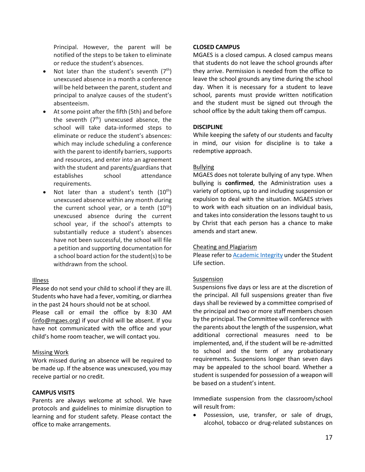Principal. However, the parent will be notified of the steps to be taken to eliminate or reduce the student's absences.

- Not later than the student's seventh  $(7<sup>th</sup>)$ unexcused absence in a month a conference will be held between the parent, student and principal to analyze causes of the student's absenteeism.
- At some point after the fifth (5th) and before the seventh  $(7<sup>th</sup>)$  unexcused absence, the school will take data-informed steps to eliminate or reduce the student's absences: which may include scheduling a conference with the parent to identify barriers, supports and resources, and enter into an agreement with the student and parents/guardians that establishes school attendance requirements.
- Not later than a student's tenth  $(10^{th})$ unexcused absence within any month during the current school year, or a tenth  $(10<sup>th</sup>)$ unexcused absence during the current school year, if the school's attempts to substantially reduce a student's absences have not been successful, the school will file a petition and supporting documentation for a school board action for the student(s) to be withdrawn from the school.

# Illness

Please do not send your child to school if they are ill. Students who have had a fever, vomiting, or diarrhea in the past 24 hours should not be at school.

Please call or email the office by 8:30 AM [\(info@mgaes.org\)](mailto:info@mgaes.org) if your child will be absent. If you have not communicated with the office and your child's home room teacher, we will contact you.

# Missing Work

Work missed during an absence will be required to be made up. If the absence was unexcused, you may receive partial or no credit.

# **CAMPUS VISITS**

Parents are always welcome at school. We have protocols and guidelines to minimize disruption to learning and for student safety. Please contact the office to make arrangements.

# **CLOSED CAMPUS**

MGAES is a closed campus. A closed campus means that students do not leave the school grounds after they arrive. Permission is needed from the office to leave the school grounds any time during the school day. When it is necessary for a student to leave school, parents must provide written notification and the student must be signed out through the school office by the adult taking them off campus.

# **DISCIPLINE**

While keeping the safety of our students and faculty in mind, our vision for discipline is to take a redemptive approach.

# Bullying

MGAES does not tolerate bullying of any type. When bullying is **confirmed**, the Administration uses a variety of options, up to and including suspension or expulsion to deal with the situation. MGAES strives to work with each situation on an individual basis, and takes into consideration the lessons taught to us by Christ that each person has a chance to make amends and start anew.

# Cheating and Plagiarism

Please refer to [Academic Integrity](#page-16-0) under the Student Life section.

# Suspension

Suspensions five days or less are at the discretion of the principal. All full suspensions greater than five days shall be reviewed by a committee comprised of the principal and two or more staff members chosen by the principal. The Committee will conference with the parents about the length of the suspension, what additional correctional measures need to be implemented, and, if the student will be re-admitted to school and the term of any probationary requirements. Suspensions longer than seven days may be appealed to the school board. Whether a student is suspended for possession of a weapon will be based on a student's intent.

Immediate suspension from the classroom/school will result from:

• Possession, use, transfer, or sale of drugs, alcohol, tobacco or drug-related substances on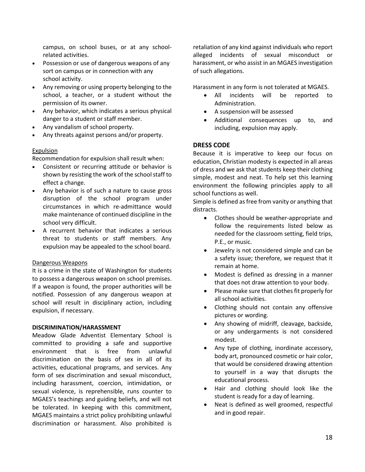campus, on school buses, or at any schoolrelated activities.

- Possession or use of dangerous weapons of any sort on campus or in connection with any school activity.
- Any removing or using property belonging to the school, a teacher, or a student without the permission of its owner.
- Any behavior, which indicates a serious physical danger to a student or staff member.
- Any vandalism of school property.
- Any threats against persons and/or property.

# Expulsion

Recommendation for expulsion shall result when:

- Consistent or recurring attitude or behavior is shown by resisting the work of the school staff to effect a change.
- Any behavior is of such a nature to cause gross disruption of the school program under circumstances in which re-admittance would make maintenance of continued discipline in the school very difficult.
- A recurrent behavior that indicates a serious threat to students or staff members. Any expulsion may be appealed to the school board.

# <span id="page-19-0"></span>Dangerous Weapons

It is a crime in the state of Washington for students to possess a dangerous weapon on school premises. If a weapon is found, the proper authorities will be notified. Possession of any dangerous weapon at school will result in disciplinary action, including expulsion, if necessary.

# **DISCRIMINATION/HARASSMENT**

Meadow Glade Adventist Elementary School is committed to providing a safe and supportive environment that is free from unlawful discrimination on the basis of sex in all of its activities, educational programs, and services. Any form of sex discrimination and sexual misconduct, including harassment, coercion, intimidation, or sexual violence, is reprehensible, runs counter to MGAES's teachings and guiding beliefs, and will not be tolerated. In keeping with this commitment, MGAES maintains a strict policy prohibiting unlawful discrimination or harassment. Also prohibited is

retaliation of any kind against individuals who report alleged incidents of sexual misconduct or harassment, or who assist in an MGAES investigation of such allegations.

Harassment in any form is not tolerated at MGAES.

- All incidents will be reported to Administration.
- A suspension will be assessed
- Additional consequences up to, and including, expulsion may apply.

# **DRESS CODE**

Because it is imperative to keep our focus on education, Christian modesty is expected in all areas of dress and we ask that students keep their clothing simple, modest and neat. To help set this learning environment the following principles apply to all school functions as well.

Simple is defined as free from vanity or anything that distracts.

- Clothes should be weather-appropriate and follow the requirements listed below as needed for the classroom setting, field trips, P.E., or music.
- Jewelry is not considered simple and can be a safety issue; therefore, we request that it remain at home.
- Modest is defined as dressing in a manner that does not draw attention to your body.
- Please make sure that clothes fit properly for all school activities.
- Clothing should not contain any offensive pictures or wording.
- Any showing of midriff, cleavage, backside, or any undergarments is not considered modest.
- Any type of clothing, inordinate accessory, body art, pronounced cosmetic or hair color, that would be considered drawing attention to yourself in a way that disrupts the educational process.
- Hair and clothing should look like the student is ready for a day of learning.
- Neat is defined as well groomed, respectful and in good repair.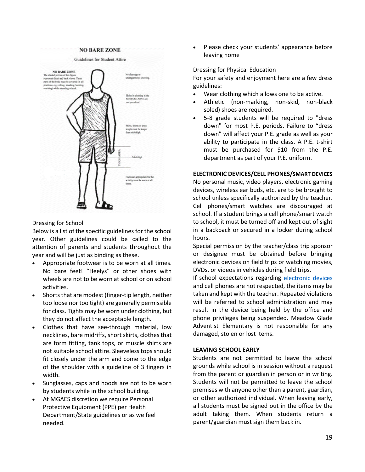#### **NO BARE ZONE**



#### Dressing for School

Below is a list of the specific guidelines for the school year. Other guidelines could be called to the attention of parents and students throughout the year and will be just as binding as these.

- Appropriate footwear is to be worn at all times. No bare feet! "Heelys" or other shoes with wheels are not to be worn at school or on school activities.
- Shorts that are modest (finger-tip length, neither too loose nor too tight) are generally permissible for class. Tights may be worn under clothing, but they do not affect the acceptable length.
- Clothes that have see-through material, low necklines, bare midriffs, short skirts, clothes that are form fitting, tank tops, or muscle shirts are not suitable school attire. Sleeveless tops should fit closely under the arm and come to the edge of the shoulder with a guideline of 3 fingers in width.
- Sunglasses, caps and hoods are not to be worn by students while in the school building.
- At MGAES discretion we require Personal Protective Equipment (PPE) per Health Department/State guidelines or as we feel needed.

Please check your students' appearance before leaving home

#### <span id="page-20-0"></span>Dressing for Physical Education

For your safety and enjoyment here are a few dress guidelines:

- Wear clothing which allows one to be active.
- Athletic (non-marking, non-skid, non-black soled) shoes are required.
- 5-8 grade students will be required to "dress down" for most P.E. periods. Failure to "dress down" will affect your P.E. grade as well as your ability to participate in the class. A P.E. t-shirt must be purchased for \$10 from the P.E. department as part of your P.E. uniform.

#### **ELECTRONIC DEVICES/CELL PHONES/SMART DEVICES**

No personal music, video players, electronic gaming devices, wireless ear buds, etc. are to be brought to school unless specifically authorized by the teacher. Cell phones/smart watches are discouraged at school. If a student brings a cell phone/smart watch to school, it must be turned off and kept out of sight in a backpack or secured in a locker during school hours.

Special permission by the teacher/class trip sponsor or designee must be obtained before bringing electronic devices on field trips or watching movies, DVDs, or videos in vehicles during field trips.

If school expectations regarding [electronic devices](#page-7-0) and cell phones are not respected, the items may be taken and kept with the teacher. Repeated violations will be referred to school administration and may result in the device being held by the office and phone privileges being suspended. Meadow Glade Adventist Elementary is not responsible for any damaged, stolen or lost items.

#### **LEAVING SCHOOL EARLY**

Students are not permitted to leave the school grounds while school is in session without a request from the parent or guardian in person or in writing. Students will not be permitted to leave the school premises with anyone other than a parent, guardian, or other authorized individual. When leaving early, all students must be signed out in the office by the adult taking them. When students return a parent/guardian must sign them back in.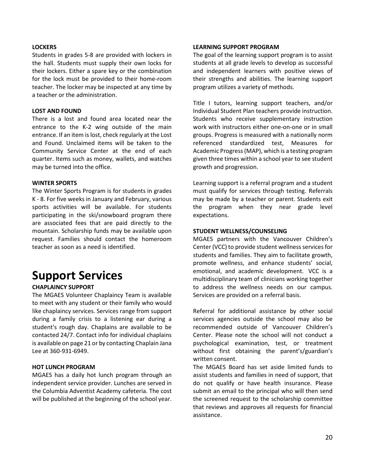## **LOCKERS**

Students in grades 5-8 are provided with lockers in the hall. Students must supply their own locks for their lockers. Either a spare key or the combination for the lock must be provided to their home-room teacher. The locker may be inspected at any time by a teacher or the administration.

#### **LOST AND FOUND**

There is a lost and found area located near the entrance to the K-2 wing outside of the main entrance. If an item is lost, check regularly at the Lost and Found. Unclaimed items will be taken to the Community Service Center at the end of each quarter. Items such as money, wallets, and watches may be turned into the office.

#### **WINTER SPORTS**

The Winter Sports Program is for students in grades K - 8. For five weeks in January and February, various sports activities will be available. For students participating in the ski/snowboard program there are associated fees that are paid directly to the mountain. Scholarship funds may be available upon request. Families should contact the homeroom teacher as soon as a need is identified.

# **Support Services**

# **CHAPLAINCY SUPPORT**

The MGAES Volunteer Chaplaincy Team is available to meet with any student or their family who would like chaplaincy services. Services range from support during a family crisis to a listening ear during a student's rough day. Chaplains are available to be contacted 24/7. Contact info for individual chaplains is available on page 21 or by contacting Chaplain Jana Lee at 360-931-6949.

# **HOT LUNCH PROGRAM**

MGAES has a daily hot lunch program through an independent service provider. Lunches are served in the Columbia Adventist Academy cafeteria. The cost will be published at the beginning of the school year.

#### **LEARNING SUPPORT PROGRAM**

The goal of the learning support program is to assist students at all grade levels to develop as successful and independent learners with positive views of their strengths and abilities. The learning support program utilizes a variety of methods.

Title I tutors, learning support teachers, and/or Individual Student Plan teachers provide instruction. Students who receive supplementary instruction work with instructors either one-on-one or in small groups. Progress is measured with a nationally norm referenced standardized test, Measures for Academic Progress (MAP), which is a testing program given three times within a school year to see student growth and progression.

Learning support is a referral program and a student must qualify for services through testing. Referrals may be made by a teacher or parent. Students exit the program when they near grade level expectations.

#### **STUDENT WELLNESS/COUNSELING**

MGAES partners with the Vancouver Children's Center (VCC) to provide student wellness services for students and families. They aim to facilitate growth, promote wellness, and enhance students' social, emotional, and academic development. VCC is a multidisciplinary team of clinicians working together to address the wellness needs on our campus. Services are provided on a referral basis.

Referral for additional assistance by other social services agencies outside the school may also be recommended outside of Vancouver Children's Center. Please note the school will not conduct a psychological examination, test, or treatment without first obtaining the parent's/guardian's written consent.

The MGAES Board has set aside limited funds to assist students and families in need of support, that do not qualify or have health insurance. Please submit an email to the principal who will then send the screened request to the scholarship committee that reviews and approves all requests for financial assistance.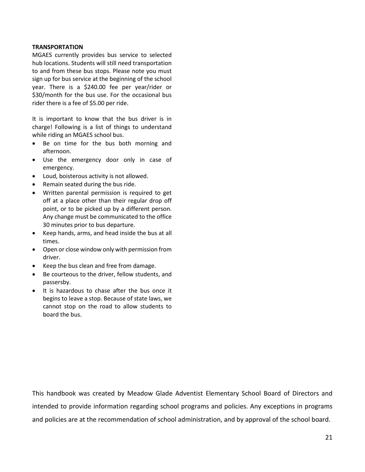# **TRANSPORTATION**

MGAES currently provides bus service to selected hub locations. Students will still need transportation to and from these bus stops. Please note you must sign up for bus service at the beginning of the school year. There is a \$240.00 fee per year/rider or \$30/month for the bus use. For the occasional bus rider there is a fee of \$5.00 per ride.

It is important to know that the bus driver is in charge! Following is a list of things to understand while riding an MGAES school bus.

- Be on time for the bus both morning and afternoon.
- Use the emergency door only in case of emergency.
- Loud, boisterous activity is not allowed.
- Remain seated during the bus ride.
- Written parental permission is required to get off at a place other than their regular drop off point, or to be picked up by a different person. Any change must be communicated to the office 30 minutes prior to bus departure.
- Keep hands, arms, and head inside the bus at all times.
- Open or close window only with permission from driver.
- Keep the bus clean and free from damage.
- Be courteous to the driver, fellow students, and passersby.
- It is hazardous to chase after the bus once it begins to leave a stop. Because of state laws, we cannot stop on the road to allow students to board the bus.

This handbook was created by Meadow Glade Adventist Elementary School Board of Directors and intended to provide information regarding school programs and policies. Any exceptions in programs and policies are at the recommendation of school administration, and by approval of the school board.